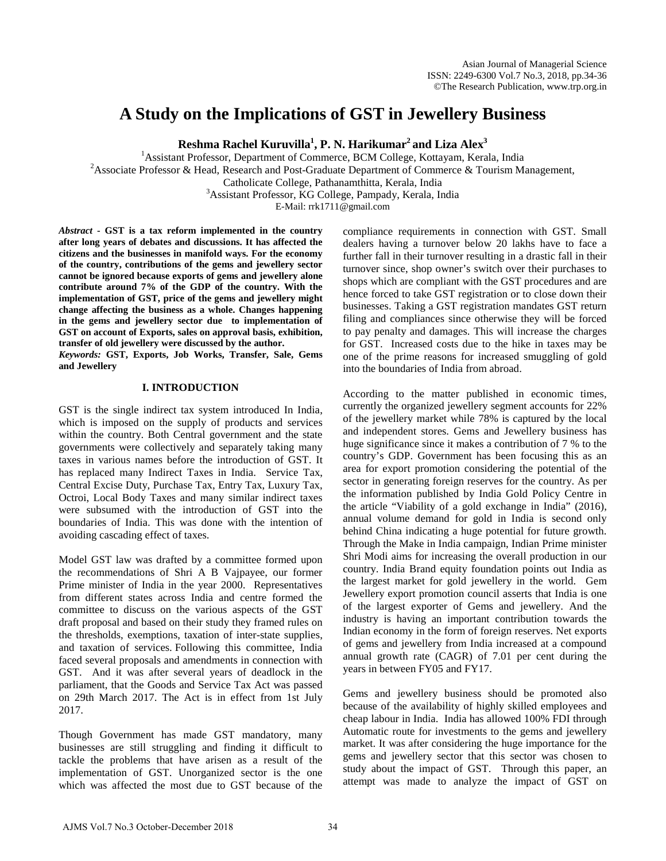# **A Study on the Implications of GST in Jewellery Business**

**Reshma Rachel Kuruvilla1 , P. N. Harikumar2 and Liza Alex3** 

<sup>1</sup> Assistant Professor, Department of Commerce, BCM College, Kottayam, Kerala, India<br><sup>2</sup> Associate Professor, & Hoad, Becasarsh and Post Graduate Department of Commerce, & Tourism M <sup>2</sup> Associate Professor & Head, Research and Post-Graduate Department of Commerce & Tourism Management, Catholicate College, Pathanamthitta, Kerala, India <sup>3</sup>

<sup>3</sup> Assistant Professor, KG College, Pampady, Kerala, India

E-Mail: rrk1711@gmail.com

*Abstract* **- GST is a tax reform implemented in the country after long years of debates and discussions. It has affected the citizens and the businesses in manifold ways. For the economy of the country, contributions of the gems and jewellery sector cannot be ignored because exports of gems and jewellery alone contribute around 7% of the GDP of the country. With the implementation of GST, price of the gems and jewellery might change affecting the business as a whole. Changes happening in the gems and jewellery sector due to implementation of GST on account of Exports, sales on approval basis, exhibition, transfer of old jewellery were discussed by the author.**

*Keywords:* **GST, Exports, Job Works, Transfer, Sale, Gems and Jewellery** 

# **I. INTRODUCTION**

GST is the single indirect tax system introduced In India, which is imposed on the supply of products and services within the country. Both Central government and the state governments were collectively and separately taking many taxes in various names before the introduction of GST. It has replaced many Indirect Taxes in India. Service Tax, Central Excise Duty, Purchase Tax, Entry Tax, Luxury Tax, Octroi, Local Body Taxes and many similar indirect taxes were subsumed with the introduction of GST into the boundaries of India. This was done with the intention of avoiding cascading effect of taxes.

Model GST law was drafted by a committee formed upon the recommendations of Shri A B Vajpayee, our former Prime minister of India in the year 2000. Representatives from different states across India and centre formed the committee to discuss on the various aspects of the GST draft proposal and based on their study they framed rules on the thresholds, exemptions, taxation of inter-state supplies, and taxation of services. Following this committee, India faced several proposals and amendments in connection with GST. And it was after several years of deadlock in the parliament, that the Goods and Service Tax Act was passed on 29th March 2017. The Act is in effect from 1st July 2017.

Though Government has made GST mandatory, many businesses are still struggling and finding it difficult to tackle the problems that have arisen as a result of the implementation of GST. Unorganized sector is the one which was affected the most due to GST because of the compliance requirements in connection with GST. Small dealers having a turnover below 20 lakhs have to face a further fall in their turnover resulting in a drastic fall in their turnover since, shop owner's switch over their purchases to shops which are compliant with the GST procedures and are hence forced to take GST registration or to close down their businesses. Taking a GST registration mandates GST return filing and compliances since otherwise they will be forced to pay penalty and damages. This will increase the charges for GST. Increased costs due to the hike in taxes may be one of the prime reasons for increased smuggling of gold into the boundaries of India from abroad.

According to the matter published in economic times, currently the organized jewellery segment accounts for 22% of the jewellery market while 78% is captured by the local and independent stores. Gems and Jewellery business has huge significance since it makes a contribution of 7 % to the country's GDP. Government has been focusing this as an area for export promotion considering the potential of the sector in generating foreign reserves for the country. As per the information published by India Gold Policy Centre in the article "Viability of a gold exchange in India" (2016), annual volume demand for gold in India is second only behind China indicating a huge potential for future growth. Through the Make in India campaign, Indian Prime minister Shri Modi aims for increasing the overall production in our country. India Brand equity foundation points out India as the largest market for gold jewellery in the world. Gem Jewellery export promotion council asserts that India is one of the largest exporter of Gems and jewellery. And the industry is having an important contribution towards the Indian economy in the form of foreign reserves. Net exports of gems and jewellery from India increased at a compound annual growth rate (CAGR) of 7.01 per cent during the years in between FY05 and FY17.

Gems and jewellery business should be promoted also because of the availability of highly skilled employees and cheap labour in India. India has allowed 100% FDI through Automatic route for investments to the gems and jewellery market. It was after considering the huge importance for the gems and jewellery sector that this sector was chosen to study about the impact of GST. Through this paper, an attempt was made to analyze the impact of GST on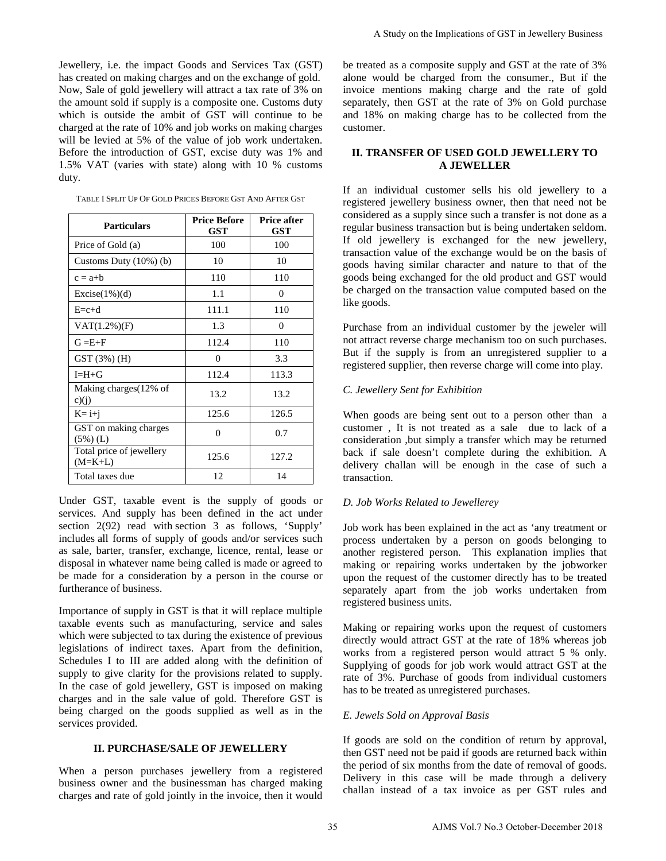Jewellery, i.e. the impact Goods and Services Tax (GST) has created on making charges and on the exchange of gold. Now, Sale of gold jewellery will attract a tax rate of 3% on the amount sold if supply is a composite one. Customs duty which is outside the ambit of GST will continue to be charged at the rate of 10% and job works on making charges will be levied at 5% of the value of job work undertaken. Before the introduction of GST, excise duty was 1% and 1.5% VAT (varies with state) along with 10 % customs duty.

| <b>Particulars</b>                    | <b>Price Before</b><br>GST | <b>Price after</b><br>GST |
|---------------------------------------|----------------------------|---------------------------|
| Price of Gold (a)                     | 100                        | 100                       |
| Customs Duty $(10\%)$ (b)             | 10                         | 10                        |
| $c = a+b$                             | 110                        | 110                       |
| $Exercise(1\%)$ d)                    | 1.1                        | 0                         |
| $E = c + d$                           | 111.1                      | 110                       |
| $VAT(1.2\%)(F)$                       | 1.3                        | 0                         |
| $G = E + F$                           | 112.4                      | 110                       |
| GST(3%) (H)                           | 0                          | 3.3                       |
| $I=H+G$                               | 112.4                      | 113.3                     |
| Making charges (12% of<br>c)(j)       | 13.2                       | 13.2                      |
| $K = i+j$                             | 125.6                      | 126.5                     |
| GST on making charges<br>$(5\%)$ (L)  | 0                          | 0.7                       |
| Total price of jewellery<br>$(M=K+L)$ | 125.6                      | 127.2                     |
| Total taxes due                       | 12                         | 14                        |

TABLE I SPLIT UP OF GOLD PRICES BEFORE GST AND AFTER GST

Under GST, taxable event is the supply of goods or services. And supply has been defined in the act under section 2(92) read with section 3 as follows, 'Supply' includes all forms of supply of goods and/or services such as sale, barter, transfer, exchange, licence, rental, lease or disposal in whatever name being called is made or agreed to be made for a consideration by a person in the course or furtherance of business.

Importance of supply in GST is that it will replace multiple taxable events such as manufacturing, service and sales which were subjected to tax during the existence of previous legislations of indirect taxes. Apart from the definition, Schedules I to III are added along with the definition of supply to give clarity for the provisions related to supply. In the case of gold jewellery, GST is imposed on making charges and in the sale value of gold. Therefore GST is being charged on the goods supplied as well as in the services provided.

#### **II. PURCHASE/SALE OF JEWELLERY**

When a person purchases jewellery from a registered business owner and the businessman has charged making charges and rate of gold jointly in the invoice, then it would be treated as a composite supply and GST at the rate of 3% alone would be charged from the consumer., But if the invoice mentions making charge and the rate of gold separately, then GST at the rate of 3% on Gold purchase and 18% on making charge has to be collected from the customer.

# **II. TRANSFER OF USED GOLD JEWELLERY TO A JEWELLER**

If an individual customer sells his old jewellery to a registered jewellery business owner, then that need not be considered as a supply since such a transfer is not done as a regular business transaction but is being undertaken seldom. If old jewellery is exchanged for the new jewellery, transaction value of the exchange would be on the basis of goods having similar character and nature to that of the goods being exchanged for the old product and GST would be charged on the transaction value computed based on the like goods. A Study on the Implications of GST in Jewellery Business<br>be treated as a composite supply and GST at the rate of 394<br>alone would be charged from the consumer. But if the<br>since mentals charge and the case of 394<br>study on t

Purchase from an individual customer by the jeweler will not attract reverse charge mechanism too on such purchases. But if the supply is from an unregistered supplier to a registered supplier, then reverse charge will come into play.

## *C. Jewellery Sent for Exhibition*

When goods are being sent out to a person other than a customer , It is not treated as a sale due to lack of a consideration ,but simply a transfer which may be returned back if sale doesn't complete during the exhibition. A delivery challan will be enough in the case of such a transaction.

#### *D. Job Works Related to Jewellerey*

Job work has been explained in the act as 'any treatment or process undertaken by a person on goods belonging to another registered person. This explanation implies that making or repairing works undertaken by the jobworker upon the request of the customer directly has to be treated separately apart from the job works undertaken from registered business units.

Making or repairing works upon the request of customers directly would attract GST at the rate of 18% whereas job works from a registered person would attract 5 % only. Supplying of goods for job work would attract GST at the rate of 3%. Purchase of goods from individual customers has to be treated as unregistered purchases.

### *E. Jewels Sold on Approval Basis*

If goods are sold on the condition of return by approval, then GST need not be paid if goods are returned back within the period of six months from the date of removal of goods. Delivery in this case will be made through a delivery challan instead of a tax invoice as per GST rules and